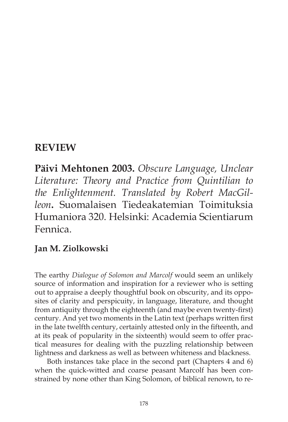## **REVIEW**

**Päivi Mehtonen 2003.** *Obscure Language, Unclear Literature: Theory and Practice from Quintilian to the Enlightenment. Translated by Robert MacGilleon***.** Suomalaisen Tiedeakatemian Toimituksia Humaniora 320. Helsinki: Academia Scientiarum Fennica.

## **Jan M. Ziolkowski**

The earthy *Dialogue of Solomon and Marcolf* would seem an unlikely source of information and inspiration for a reviewer who is setting out to appraise a deeply thoughtful book on obscurity, and its opposites of clarity and perspicuity, in language, literature, and thought from antiquity through the eighteenth (and maybe even twenty-first) century. And yet two moments in the Latin text (perhaps written first in the late twelfth century, certainly attested only in the fifteenth, and at its peak of popularity in the sixteenth) would seem to offer practical measures for dealing with the puzzling relationship between lightness and darkness as well as between whiteness and blackness.

Both instances take place in the second part (Chapters 4 and 6) when the quick-witted and coarse peasant Marcolf has been constrained by none other than King Solomon, of biblical renown, to re-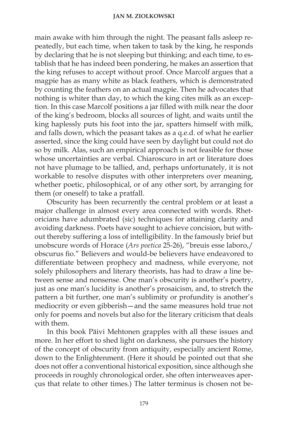main awake with him through the night. The peasant falls asleep repeatedly, but each time, when taken to task by the king, he responds by declaring that he is not sleeping but thinking; and each time, to establish that he has indeed been pondering, he makes an assertion that the king refuses to accept without proof. Once Marcolf argues that a magpie has as many white as black feathers, which is demonstrated by counting the feathers on an actual magpie. Then he advocates that nothing is whiter than day, to which the king cites milk as an exception. In this case Marcolf positions a jar filled with milk near the door of the king's bedroom, blocks all sources of light, and waits until the king haplessly puts his foot into the jar, spatters himself with milk, and falls down, which the peasant takes as a q.e.d. of what he earlier asserted, since the king could have seen by daylight but could not do so by milk. Alas, such an empirical approach is not feasible for those whose uncertainties are verbal. Chiaroscuro in art or literature does not have plumage to be tallied, and, perhaps unfortunately, it is not workable to resolve disputes with other interpreters over meaning, whether poetic, philosophical, or of any other sort, by arranging for them (or oneself) to take a pratfall.

Obscurity has been recurrently the central problem or at least a major challenge in almost every area connected with words. Rhetoricians have adumbrated (sic) techniques for attaining clarity and avoiding darkness. Poets have sought to achieve concision, but without thereby suffering a loss of intelligibility. In the famously brief but unobscure words of Horace (*Ars poetica* 25-26), "breuis esse laboro,/ obscurus fio." Believers and would-be believers have endeavored to differentiate between prophecy and madness, while everyone, not solely philosophers and literary theorists, has had to draw a line between sense and nonsense. One man's obscurity is another's poetry, just as one man's lucidity is another's prosaicism, and, to stretch the pattern a bit further, one man's sublimity or profundity is another's mediocrity or even gibberish—and the same measures hold true not only for poems and novels but also for the literary criticism that deals with them.

In this book Päivi Mehtonen grapples with all these issues and more. In her effort to shed light on darkness, she pursues the history of the concept of obscurity from antiquity, especially ancient Rome, down to the Enlightenment. (Here it should be pointed out that she does not offer a conventional historical exposition, since although she proceeds in roughly chronological order, she often interweaves aperçus that relate to other times.) The latter terminus is chosen not be-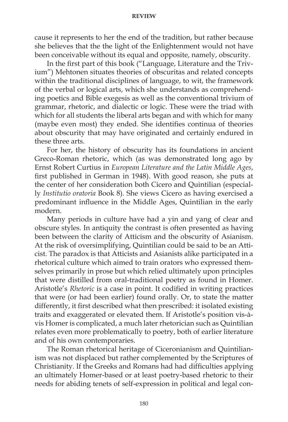## **REVIEW**

cause it represents to her the end of the tradition, but rather because she believes that the the light of the Enlightenment would not have been conceivable without its equal and opposite, namely, obscurity.

In the first part of this book ("Language, Literature and the Trivium") Mehtonen situates theories of obscuritas and related concepts within the traditional disciplines of language, to wit, the framework of the verbal or logical arts, which she understands as comprehending poetics and Bible exegesis as well as the conventional trivium of grammar, rhetoric, and dialectic or logic. These were the triad with which for all students the liberal arts began and with which for many (maybe even most) they ended. She identifies continua of theories about obscurity that may have originated and certainly endured in these three arts.

For her, the history of obscurity has its foundations in ancient Greco-Roman rhetoric, which (as was demonstrated long ago by Ernst Robert Curtius in *European Literature and the Latin Middle Ages*, first published in German in 1948). With good reason, she puts at the center of her consideration both Cicero and Quintilian (especially *Institutio oratoria* Book 8). She views Cicero as having exercised a predominant influence in the Middle Ages, Quintilian in the early modern.

Many periods in culture have had a yin and yang of clear and obscure styles. In antiquity the contrast is often presented as having been between the clarity of Atticism and the obscurity of Asianism. At the risk of oversimplifying, Quintilian could be said to be an Atticist. The paradox is that Atticists and Asianists alike participated in a rhetorical culture which aimed to train orators who expressed themselves primarily in prose but which relied ultimately upon principles that were distilled from oral-traditional poetry as found in Homer. Aristotle's *Rhetoric* is a case in point. It codified in writing practices that were (or had been earlier) found orally. Or, to state the matter differently, it first described what then prescribed: it isolated existing traits and exaggerated or elevated them. If Aristotle's position vis-àvis Homer is complicated, a much later rhetorician such as Quintilian relates even more problematically to poetry, both of earlier literature and of his own contemporaries.

The Roman rhetorical heritage of Ciceronianism and Quintilianism was not displaced but rather complemented by the Scriptures of Christianity. If the Greeks and Romans had had difficulties applying an ultimately Homer-based or at least poetry-based rhetoric to their needs for abiding tenets of self-expression in political and legal con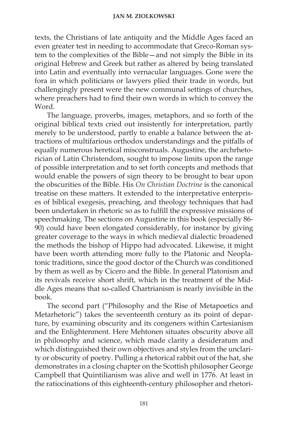texts, the Christians of late antiquity and the Middle Ages faced an even greater test in needing to accommodate that Greco-Roman system to the complexities of the Bible—and not simply the Bible in its original Hebrew and Greek but rather as altered by being translated into Latin and eventually into vernacular languages. Gone were the fora in which politicians or lawyers plied their trade in words, but challengingly present were the new communal settings of churches, where preachers had to find their own words in which to convey the Word.

The language, proverbs, images, metaphors, and so forth of the original biblical texts cried out insistently for interpretation, partly merely to be understood, partly to enable a balance between the attractions of multifarious orthodox understandings and the pitfalls of equally numerous heretical misconstruals. Augustine, the archrhetorician of Latin Christendom, sought to impose limits upon the range of possible interpretation and to set forth concepts and methods that would enable the powers of sign theory to be brought to bear upon the obscurities of the Bible. His *On Christian Doctrine* is the canonical treatise on these matters. It extended to the interpretative enterprises of biblical exegesis, preaching, and theology techniques that had been undertaken in rhetoric so as to fulfill the expressive missions of speechmaking. The sections on Augustine in this book (especially 86- 90) could have been elongated considerably, for instance by giving greater coverage to the ways in which medieval dialectic broadened the methods the bishop of Hippo had advocated. Likewise, it might have been worth attending more fully to the Platonic and Neoplatonic traditions, since the good doctor of the Church was conditioned by them as well as by Cicero and the Bible. In general Platonism and its revivals receive short shrift, which in the treatment of the Middle Ages means that so-called Chartrianism is nearly invisible in the book.

The second part ("Philosophy and the Rise of Metapoetics and Metarhetoric") takes the seventeenth century as its point of departure, by examining obscurity and its congeners within Cartesianism and the Enlightenment. Here Mehtonen situates obscurity above all in philosophy and science, which made clarity a desideratum and which distinguished their own objectives and styles from the unclarity or obscurity of poetry. Pulling a rhetorical rabbit out of the hat, she demonstrates in a closing chapter on the Scottish philosopher George Campbell that Quintilianism was alive and well in 1776. At least in the ratiocinations of this eighteenth-century philosopher and rhetori-